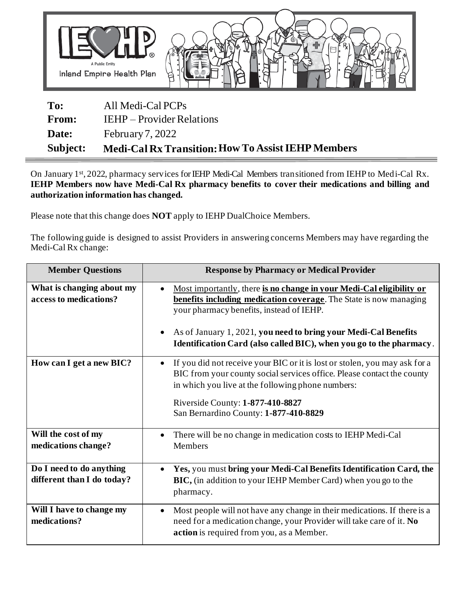

| To:          | All Medi-Cal PCPs                                         |
|--------------|-----------------------------------------------------------|
| <b>From:</b> | <b>IEHP</b> – Provider Relations                          |
| Date:        | February $7,2022$                                         |
| Subject:     | <b>Medi-Cal Rx Transition: How To Assist IEHP Members</b> |

On January 1st, 2022, pharmacy services for IEHP Medi-Cal Members transitioned from IEHP to Medi-Cal Rx. **IEHP Members now have Medi-Cal Rx pharmacy benefits to cover their medications and billing and authorization information has changed.** 

Please note that this change does **NOT** apply to IEHP DualChoice Members.

The following guide is designed to assist Providers in answering concerns Members may have regarding the Medi-Cal Rx change:

| <b>Member Questions</b>                                | <b>Response by Pharmacy or Medical Provider</b>                                                                                                                                                                                                                                                                                                                   |
|--------------------------------------------------------|-------------------------------------------------------------------------------------------------------------------------------------------------------------------------------------------------------------------------------------------------------------------------------------------------------------------------------------------------------------------|
| What is changing about my<br>access to medications?    | Most importantly, there is no change in your Medi-Cal eligibility or<br>$\bullet$<br><b>benefits including medication coverage</b> . The State is now managing<br>your pharmacy benefits, instead of IEHP.<br>As of January 1, 2021, you need to bring your Medi-Cal Benefits<br>$\bullet$<br>Identification Card (also called BIC), when you go to the pharmacy. |
| How can I get a new BIC?                               | If you did not receive your BIC or it is lost or stolen, you may ask for a<br>$\bullet$<br>BIC from your county social services office. Please contact the county<br>in which you live at the following phone numbers:<br>Riverside County: 1-877-410-8827<br>San Bernardino County: 1-877-410-8829                                                               |
| Will the cost of my<br>medications change?             | There will be no change in medication costs to IEHP Medi-Cal<br>$\bullet$<br>Members                                                                                                                                                                                                                                                                              |
| Do I need to do anything<br>different than I do today? | Yes, you must bring your Medi-Cal Benefits Identification Card, the<br>$\bullet$<br>BIC, (in addition to your IEHP Member Card) when you go to the<br>pharmacy.                                                                                                                                                                                                   |
| Will I have to change my<br>medications?               | Most people will not have any change in their medications. If there is a<br>٠<br>need for a medication change, your Provider will take care of it. No<br>action is required from you, as a Member.                                                                                                                                                                |